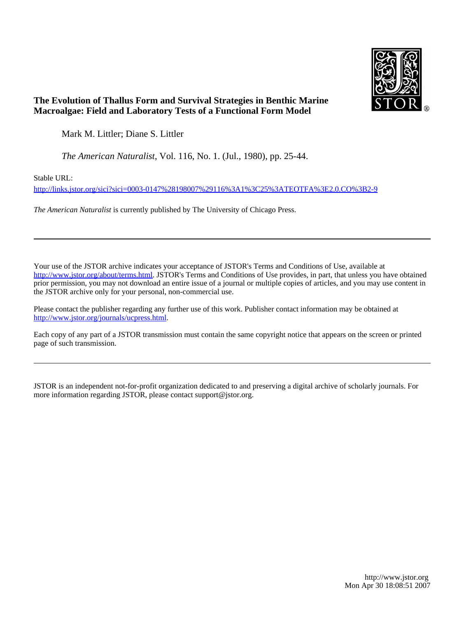

# **The Evolution of Thallus Form and Survival Strategies in Benthic Marine Macroalgae: Field and Laboratory Tests of a Functional Form Model**

Mark M. Littler; Diane S. Littler

*The American Naturalist*, Vol. 116, No. 1. (Jul., 1980), pp. 25-44.

Stable URL:

<http://links.jstor.org/sici?sici=0003-0147%28198007%29116%3A1%3C25%3ATEOTFA%3E2.0.CO%3B2-9>

*The American Naturalist* is currently published by The University of Chicago Press.

Your use of the JSTOR archive indicates your acceptance of JSTOR's Terms and Conditions of Use, available at [http://www.jstor.org/about/terms.html.](http://www.jstor.org/about/terms.html) JSTOR's Terms and Conditions of Use provides, in part, that unless you have obtained prior permission, you may not download an entire issue of a journal or multiple copies of articles, and you may use content in the JSTOR archive only for your personal, non-commercial use.

Please contact the publisher regarding any further use of this work. Publisher contact information may be obtained at <http://www.jstor.org/journals/ucpress.html>.

Each copy of any part of a JSTOR transmission must contain the same copyright notice that appears on the screen or printed page of such transmission.

JSTOR is an independent not-for-profit organization dedicated to and preserving a digital archive of scholarly journals. For more information regarding JSTOR, please contact support@jstor.org.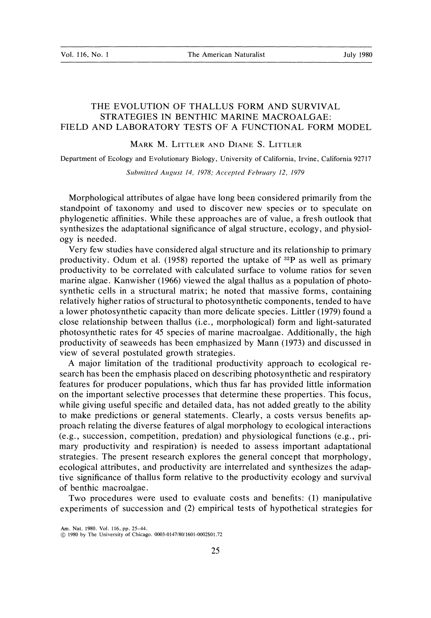## THE EVOLUTION OF THALLUS FORM AND SURVIVAL STRATEGIES IN BENTHIC MARINE MACROALGAE: FIELD AND LABORATORY TESTS OF A FUNCTIONAL FORM MODEL

MARK M. LITTLER AND DIANE S. LITTLER

Department of Ecology and Evolutionary Biology, University of California, Irvine, California 92717

*Submitted August 14, 1978; Accepted February 12, 1979* 

Morphological attributes of algae have long beesr considered primarily from the standpoint of taxonomy and used to discover new species or to speculate on phylogenetic affinities. While these approaches are of value, a fresh outlook that synthesizes the adaptational significance of algal structure, ecology, and physiology is needed.

Very few studies have considered algal structure and its relationship to primary productivity. Odum et al. (1958) reported the uptake of  $^{32}P$  as well as primary productivity to be correlated with calculated surface to volume ratios for seven marine algae. Kanwisher (1966) viewed the algal thallus as a population of photosynthetic cells in a structural matrix; he noted that massive forms, containing relatively higher ratios of structural to photosynthetic components, tended to have a lower photosynthetic capacity than more delicate species. Littler (1979) found a close relationship between thallus (i.e., morphological) form and light-saturated photosynthetic rates for 45 species of marine macroalgae. Additionally, the high productivity of seaweeds has been emphasized by Mann (1973) and discussed in view of several postulated growth strategies.

A major limitation of the traditional productivity approach to ecological research has been the emphasis placed on describing photosynthetic and respiratory features for producer populations, which thus far has provided little information on the important selective processes that determine these properties. This focus, while giving useful specific and detailed data, has not added greatly to the ability to make predictions or general statements. Clearly, a costs versus benefits approach relating the diverse features of algal morphology to ecological interactions (e.g., succession, competition, predation) and physiological functions (e.g., primary productivity and respiration) is needed to assess important adaptational strategies. The present research explores the general concept that morphology, ecological attributes, and productivity are interrelated and synthesizes the adaptive significance of thallus form relative to the productivity ecology and survival of benthic macroalgae.

Two procedures were used to evaluate costs and benefits: (1) manipulative experiments of succession and *(2)* empirical tests of hypothetical strategies for

**Am.** Nat. 1980. Vol. 116. pp. 25-44.

*(8*1980 by The University of Chicagu. **0003-0147'80'1601-0002\$01.72**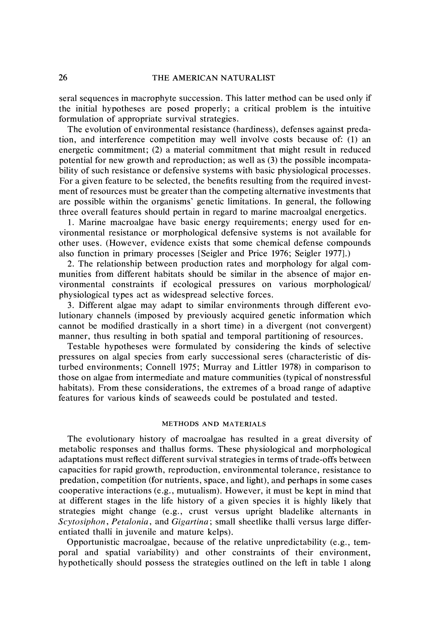sera1 sequences in macrophyte succession. This latter method can be used only if the initial hypotheses are posed properly; a critical problem is the intuitive formulation of appropriate survival strategies.

The evolution of environmental resistance (hardiness), defenses against predation, and interference competition may well involve costs because of: (1) an energetic commitment; (2) a material commitment that might result in reduced potential for new growth and reproduction; as well as (3) the possible incompatability of such resistance or defensive systems with basic physiological processes. For a given feature to be selected, the benefits resulting from the required investment of resources must be greater than the competing alternative investments that are possible within the organisms' genetic limitations. In general, the following three overall features should pertain in regard to marine macroalgal energetics.

1. Marine macroalgae have basic energy requirements; energy used for environmental resistance or morphological defensive systems is not available for other uses. (However, evidence exists that some chemical defense compounds also function in primary processes [Seigler and Price 1976; Seigler 19771.)

2. The relationship between production rates and morphology for algal communities from different habitats should be similar in the absence of major environmental constraints if ecological pressures on various morphological/ physiological types act as widespread selective forces.

3. Different algae may adapt to similar environments through different evolutionary channels (imposed by previously acquired genetic information which cannot be modified drastically in a short time) in a divergent (not convergent) manner, thus resulting in both spatial and temporal partitioning of resources.

Testable hypotheses were formulated by considering the kinds of selective pressures on algal species from early successional seres (characteristic of disturbed environments; Connell 1975; Murray and Littler 1978) in comparison to those on algae from intermediate and mature communities (typical of nonstressful habitats). From these considerations, the extremes of a broad range of adaptive features for various kinds of seaweeds could be postulated and tested.

# METHODS AND MATERIALS

The evolutionary history of macroalgae has resulted in a great diversity of metabolic responses and thallus forms. These physiological and morphological adaptations must reflect different survival strategies in terms of trade-offs between capacities for rapid growth, reproduction, environmental tolerance, resistance to predation, competition (for nutrients, space, and light), and perhaps in some cases cooperative interactions (e.g., mutualism). However, it must be kept in mind that at different stages in the life history of a given species it is highly likely that strategies might change (e.g., crust versus upright bladelike alternants in *Scytosiphon, Petalonia, and Gigartina; small sheetlike thalli versus large differ*entiated thalli in juvenile and mature kelps).

Opportunistic macroalgae, because of the relative unpredictability (e.g., temporal and spatial variability) and other constraints of their environment, hypothetically should possess the strategies outlined on the left in table 1 along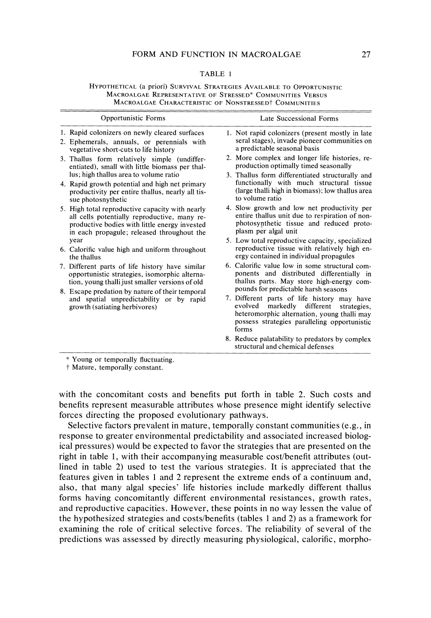#### TABLE 1

HYPOTHETICAL (a priori) SURVIVAL STRATEGIES AVAILABLE TO OPPORTUNISTIC MACROALGAE REPRESENTATIVE OF STRESSED\* COMMUNITIES VERSUS MACROALGAE CHARACTERISTIC OF NONSTRESSED<sup>†</sup> COMMUNITIES

| Opportunistic Forms                                                                                                                                                                                                                                                                                                                                                                                                                                                                                                                                                                                                                                                                                                                                                                                                                    | Late Successional Forms                                                                                                                                                                                                                                                                                                                                                                                                                                                                                                                                                                                                                                                                                                                                                                                                                                                                                                                                                                                                                                           |  |
|----------------------------------------------------------------------------------------------------------------------------------------------------------------------------------------------------------------------------------------------------------------------------------------------------------------------------------------------------------------------------------------------------------------------------------------------------------------------------------------------------------------------------------------------------------------------------------------------------------------------------------------------------------------------------------------------------------------------------------------------------------------------------------------------------------------------------------------|-------------------------------------------------------------------------------------------------------------------------------------------------------------------------------------------------------------------------------------------------------------------------------------------------------------------------------------------------------------------------------------------------------------------------------------------------------------------------------------------------------------------------------------------------------------------------------------------------------------------------------------------------------------------------------------------------------------------------------------------------------------------------------------------------------------------------------------------------------------------------------------------------------------------------------------------------------------------------------------------------------------------------------------------------------------------|--|
| 1. Rapid colonizers on newly cleared surfaces<br>2. Ephemerals, annuals, or perennials with<br>vegetative short-cuts to life history                                                                                                                                                                                                                                                                                                                                                                                                                                                                                                                                                                                                                                                                                                   | 1. Not rapid colonizers (present mostly in late<br>seral stages), invade pioneer communities on<br>a predictable seasonal basis                                                                                                                                                                                                                                                                                                                                                                                                                                                                                                                                                                                                                                                                                                                                                                                                                                                                                                                                   |  |
| 3. Thallus form relatively simple (undiffer-<br>entiated), small with little biomass per thal-<br>lus; high thallus area to volume ratio<br>4. Rapid growth potential and high net primary<br>productivity per entire thallus, nearly all tis-<br>sue photosnythetic<br>5. High total reproductive capacity with nearly<br>all cells potentially reproductive, many re-<br>productive bodies with little energy invested<br>in each propagule; released throughout the<br>vear<br>6. Calorific value high and uniform throughout<br>the thallus<br>7. Different parts of life history have similar<br>opportunistic strategies, isomorphic alterna-<br>tion, young thalli just smaller versions of old<br>8. Escape predation by nature of their temporal<br>and spatial unpredictability or by rapid<br>growth (satiating herbivores) | 2. More complex and longer life histories, re-<br>production optimally timed seasonally<br>3. Thallus form differentiated structurally and<br>functionally with much structural tissue<br>(large thalli high in biomass); low thallus area<br>to volume ratio<br>4. Slow growth and low net productivity per<br>entire thallus unit due to respiration of non-<br>photosynthetic tissue and reduced proto-<br>plasm per algal unit<br>5. Low total reproductive capacity, specialized<br>reproductive tissue with relatively high en-<br>ergy contained in individual propagules<br>6. Calorific value low in some structural com-<br>ponents and distributed differentially in<br>thallus parts. May store high-energy com-<br>pounds for predictable harsh seasons<br>7. Different parts of life history may have<br>markedly different<br>evolved<br>strategies.<br>heteromorphic alternation, young thalli may<br>possess strategies paralleling opportunistic<br>forms<br>8. Reduce palatability to predators by complex<br>structural and chemical defenses |  |

t Mature, temporally constant.

with the concomitant costs and benefits put forth in table 2. Such costs and benefits represent measurable attributes whose presence might identify selective forces directing the proposed evolutionary pathways.

Selective factors prevalent in mature, temporally constant communities (e.g., in response to greater environmental predictability and associated increased biological pressures) would be expected to favor the strategies that are presented on the right in table 1, with their accompanying measurable cost/benefit attributes (outlined in table 2) used to test the various strategies. It is appreciated that the features given in tables 1 and 2 represent the extreme ends of a continuum and, also, that many algal species' life histories include markedly different thallus forms having concomitantly different environmental resistances, growth rates, and reproductive capacities. However, these points in no way lessen the value of the hypothesized strategies and costslbenefits (tables 1 and 2) as a framework for examining the role of critical selective forces. The reliability of several of the predictions was assessed by directly measuring physiological, calorific, morpho-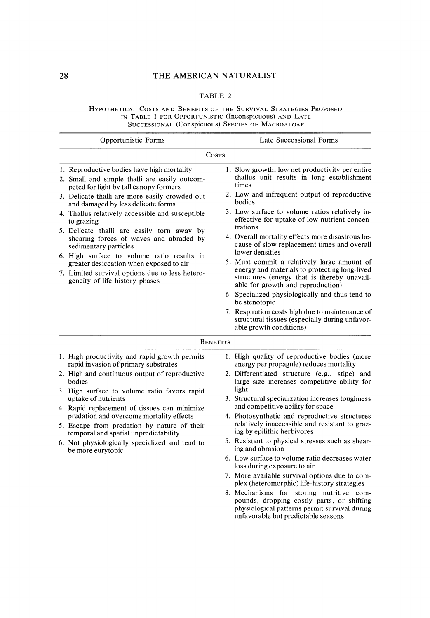### THE AMERICAN NATURALIST

### TABLE 2

Hypothetical Costs and Benefits of the Survival Strategies Proposed IN TABLE 1 FOR OPPORTUNISTIC (Inconspicuous) AND LATE SUCCESSIONAL (Conspicuous) SPECIES OF MACROALGAE

| Opportunistic Forms |                                                                                                                                                                                                                                                                                                                                                                | Late Successional Forms                                                                                                                                                                                                                                                                                                                                                                                                                                                                                                                                                                                                  |  |  |  |  |
|---------------------|----------------------------------------------------------------------------------------------------------------------------------------------------------------------------------------------------------------------------------------------------------------------------------------------------------------------------------------------------------------|--------------------------------------------------------------------------------------------------------------------------------------------------------------------------------------------------------------------------------------------------------------------------------------------------------------------------------------------------------------------------------------------------------------------------------------------------------------------------------------------------------------------------------------------------------------------------------------------------------------------------|--|--|--|--|
|                     | Costs                                                                                                                                                                                                                                                                                                                                                          |                                                                                                                                                                                                                                                                                                                                                                                                                                                                                                                                                                                                                          |  |  |  |  |
|                     | 1. Reproductive bodies have high mortality<br>2. Small and simple thalli are easily outcom-<br>peted for light by tall canopy formers                                                                                                                                                                                                                          | 1. Slow growth, low net productivity per entire<br>thallus unit results in long establishment<br>times                                                                                                                                                                                                                                                                                                                                                                                                                                                                                                                   |  |  |  |  |
|                     | 3. Delicate thalli are more easily crowded out<br>and damaged by less delicate forms                                                                                                                                                                                                                                                                           | 2. Low and infrequent output of reproductive<br>bodies                                                                                                                                                                                                                                                                                                                                                                                                                                                                                                                                                                   |  |  |  |  |
|                     | 4. Thallus relatively accessible and susceptible<br>to grazing<br>5. Delicate thalli are easily torn away by<br>shearing forces of waves and abraded by<br>sedimentary particles<br>6. High surface to volume ratio results in<br>greater desiccation when exposed to air<br>7. Limited survival options due to less hetero-<br>geneity of life history phases | 3. Low surface to volume ratios relatively in-<br>effective for uptake of low nutrient concen-<br>trations<br>4. Overall mortality effects more disastrous be-<br>cause of slow replacement times and overall<br>lower densities<br>5. Must commit a relatively large amount of<br>energy and materials to protecting long-lived<br>structures (energy that is thereby unavail-<br>able for growth and reproduction)<br>6. Specialized physiologically and thus tend to<br>be stenotopic<br>7. Respiration costs high due to maintenance of<br>structural tissues (especially during unfavor-<br>able growth conditions) |  |  |  |  |
|                     |                                                                                                                                                                                                                                                                                                                                                                | <b>BENEFITS</b>                                                                                                                                                                                                                                                                                                                                                                                                                                                                                                                                                                                                          |  |  |  |  |
|                     | 1. High productivity and rapid growth permits<br>rapid invasion of primary substrates                                                                                                                                                                                                                                                                          | 1. High quality of reproductive bodies (more<br>energy per propagule) reduces mortality                                                                                                                                                                                                                                                                                                                                                                                                                                                                                                                                  |  |  |  |  |
|                     | 2. High and continuous output of reproductive<br>bodies                                                                                                                                                                                                                                                                                                        | 2. Differentiated structure (e.g., stipe) and<br>large size increases competitive ability for                                                                                                                                                                                                                                                                                                                                                                                                                                                                                                                            |  |  |  |  |
|                     | 3. High surface to volume ratio favors rapid<br>uptake of nutrients<br>4. Rapid replacement of tissues can minimize                                                                                                                                                                                                                                            | light<br>3. Structural specialization increases toughness<br>and competitive ability for space                                                                                                                                                                                                                                                                                                                                                                                                                                                                                                                           |  |  |  |  |
|                     | predation and overcome mortality effects<br>5. Escape from predation by nature of their<br>temporal and spatial unpredictability                                                                                                                                                                                                                               | 4. Photosynthetic and reproductive structures<br>relatively inaccessible and resistant to graz-<br>ing by epilithic herbivores                                                                                                                                                                                                                                                                                                                                                                                                                                                                                           |  |  |  |  |
|                     | 6. Not physiologically specialized and tend to<br>be more eurytopic                                                                                                                                                                                                                                                                                            | 5. Resistant to physical stresses such as shear-<br>ing and abrasion                                                                                                                                                                                                                                                                                                                                                                                                                                                                                                                                                     |  |  |  |  |
|                     |                                                                                                                                                                                                                                                                                                                                                                | 6. Low surface to volume ratio decreases water<br>loss during exposure to air                                                                                                                                                                                                                                                                                                                                                                                                                                                                                                                                            |  |  |  |  |
|                     |                                                                                                                                                                                                                                                                                                                                                                | 7. More available survival options due to com-<br>plex (heteromorphic) life-history strategies                                                                                                                                                                                                                                                                                                                                                                                                                                                                                                                           |  |  |  |  |
|                     |                                                                                                                                                                                                                                                                                                                                                                | 8. Mechanisms for storing nutritive com-<br>pounds, dropping costly parts, or shifting<br>physiological patterns permit survival during<br>unfavorable but predictable seasons                                                                                                                                                                                                                                                                                                                                                                                                                                           |  |  |  |  |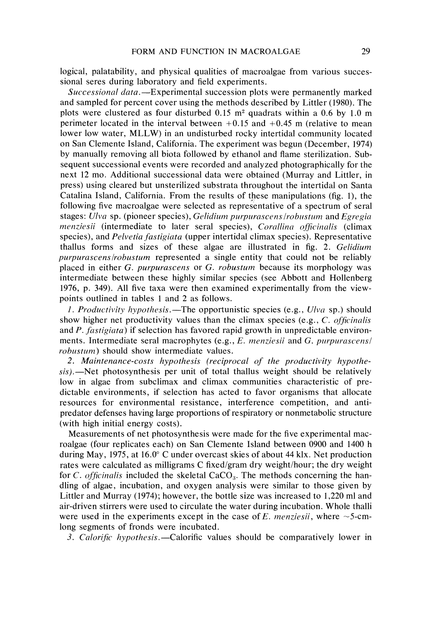logical, palatability, and physical qualities of macroalgae from various successional seres during laboratory and field experiments.

Successional data.—Experimental succession plots were permanently marked and sampled for percent cover using the methods described by Littler (1980). The plots were clustered as four disturbed  $0.15$  m<sup>2</sup> quadrats within a 0.6 by 1.0 m perimeter located in the interval between  $+0.15$  and  $+0.45$  m (relative to mean lower low water, MLLW) in an undisturbed rocky intertidal community located on San Clemente Island, California. The experiment was begun (December, 1974) by manually removing all biota followed by ethanol and flame sterilization. Subsequent successional events were recorded and analyzed photographically for the next 12 mo. Additional successional data were obtained (Murray and Littler, in press) using cleared but unsterilized substrata throughout the intertidal on Santa Catalina Island, California. From the results of these manipulations (fig. I), the following five macroalgae were selected as representative of a spectrum of seral stages: Ulva sp. (pioneer species), Gelidium purpurascens/robustum and Egregia menziesii (intermediate to later seral species), Corallina officinalis (climax species), and *Pelvetia fastigiata* (upper intertidal climax species). Representative thallus forms and sizes of these algae are illustrated in fig. 2. Gelidiurn purpurascens/robustum represented a single entity that could not be reliably placed in either G. purpurascens or G. robustum because its morphology was intermediate between these highly similar species (see Abbott and Hollenberg 1976, p. 349). All five taxa were then examined experimentally from the viewpoints outlined in tables 1 and 2 as follows.

*I. Productivity hypothesis.*—The opportunistic species (e.g.,  $U/\nu a$  sp.) should show higher net productivity values than the climax species (e.g.,  $C$ . officinalis and P. fastigiata) if selection has favored rapid growth in unpredictable environments. Intermediate seral macrophytes (e.g.,  $E$ . *menziesii* and  $G$ . *purpurascens*/ robustum) should show intermediate values.

2. Maintenance-costs hypothesis (reciprocal of the productivity hypothe $sis$ ).  $\rightarrow$ Net photosynthesis per unit of total thallus weight should be relatively low in algae from subclimax and climax communities characteristic of predictable environments, if selection has acted to favor organisms that allocate resources for environmental resistance, interference competition, and antipredator defenses having large proportions of respiratory or nonmetabolic structure (with high initial energy costs).

Measurements of net photosynthesis were made for the five experimental macroalgae (four replicates each) on San Clemente Island between 0900 and 1400 h during May, 1975, at 16.0" C under overcast skies of about 44 klx. Net production rates were calculated as milligrams C fixed/gram dry weight/hour; the dry weight for C. officinalis included the skeletal  $CaCO<sub>3</sub>$ . The methods concerning the handling of algae, incubation, and oxygen analysis were similar to those given by Littler and Murray (1974); however, the bottle size was increased to 1,220 ml and air-driven stirrers were used to circulate the water during incubation. Whole thalli were used in the experiments except in the case of E. *menziesii*, where  $\sim$  5-cmlong segments of fronds were incubated.

3. Calorific hypothesis.—Calorific values should be comparatively lower in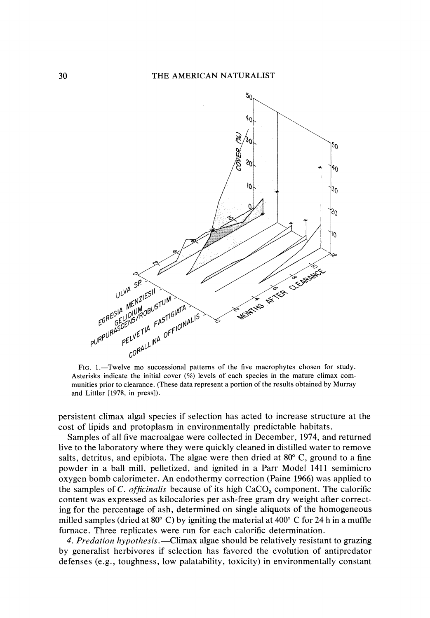

FIG. 1.-Twelve mo successional patterns of the five macrophytes chosen for study. Asterisks indicate the initial cover (%) levels of each species in the mature climax communities prior to clearance. (These data represent a portion of the results obtained by Murray and Littler [1978, in press]).

persistent climax algal species if selection has acted to increase structure at the cost of lipids and protoplasm in environmentally predictable habitats.

Samples of all five macroalgae were collected in December, 1974, and returned live to the laboratory where they were quickly cleaned in distilled water to remove salts, detritus, and epibiota. The algae were then dried at  $80^{\circ}$  C, ground to a fine powder in a ball mill, pelletized, and ignited in a Parr Model 1411 semimicro oxygen bomb calorimeter. An endothermy correction (Paine 1966) was applied to the samples of C. officinalis because of its high  $CaCO<sub>3</sub>$  component. The calorific content was expressed as kilocalories per ash-free gram dry weight after correcting for the percentage of ash, determined on single aliquots of the homogeneous milled samples (dried at 80 $^{\circ}$  C) by igniting the material at 400 $^{\circ}$  C for 24 h in a muffle furnace. Three replicates were run for each calorific determination.

4. Predation hypothesis.—Climax algae should be relatively resistant to grazing by generalist herbivores if selection has favored the evolution of antipredator defenses (e.g., toughness, low palatability, toxicity) in environmentally constant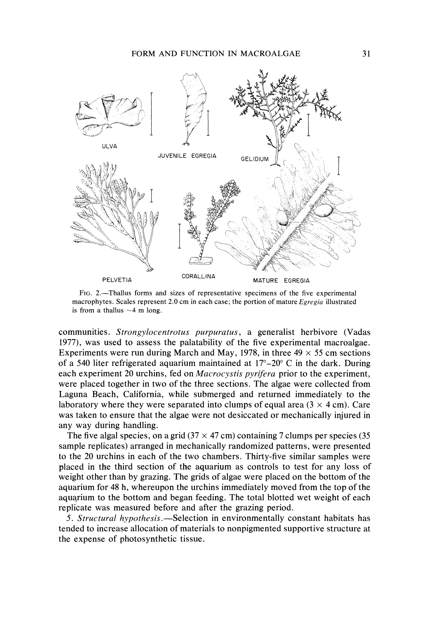

FIG.2.-Thallus forms and sizes of representative specimens of the five experimental macrophytes. Scales represent 2.0 cm in each case; the portion of mature *Egregim* illustrated is from a thallus  $\sim$  4 m long.

communities. Strongylocentrotus purpuratus, a generalist herbivore (Vadas 1977), was used to assess the palatability of the five experimental macroalgae. Experiments were run during March and May, 1978, in three  $49 \times 55$  cm sections of a 540 liter refrigerated aquarium maintained at  $17^{\circ} - 20^{\circ}$  C in the dark. During each experiment 20 urchins, fed on *Macrocystis pyrifera* prior to the experiment, were placed together in two of the three sections. The algae were collected from Laguna Beach, California, while submerged and returned immediately to the laboratory where they were separated into clumps of equal area  $(3 \times 4 \text{ cm})$ . Care was taken to ensure that the algae were not desiccated or mechanically injured in any way during handling.

The five algal species, on a grid  $(37 \times 47 \text{ cm})$  containing 7 clumps per species  $(35 \text{ m})$ sample replicates) arranged in mechanically randomized patterns, were presented to the 20 urchins in each of the two chambers. Thirty-five similar samples were placed in the third section of the aquarium as controls to test for any loss of weight other than by grazing. The grids of algae were placed on the bottom of the aquarium for 48 h, whereupon the urchins immediately moved from the top of the aquarium to the bottom and began feeding. The total blotted wet weight of each replicate was measured before and after the grazing period.

5. Structural hypothesis.—Selection in environmentally constant habitats has tended to increase allocation of materials to nonpigmented supportive structure at the expense of photosynthetic tissue.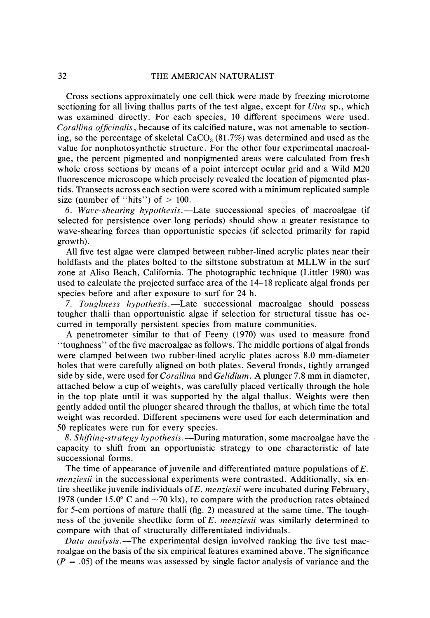Cross sections approximately one cell thick were made by freezing microtome sectioning for all living thallus parts of the test algae, except for  $U/vq$  sp., which was examined directly. For each species, 10 different specimens were used. Corallina officinalis, because of its calcified nature, was not amenable to sectioning, so the percentage of skeletal  $CaCO<sub>3</sub>(81.7%)$  was determined and used as the value for nonphotosynthetic structure. For the other four experimental macroalgae, the percent pigmented and nonpigmented areas were calculated from fresh whole cross sections by means of a point intercept ocular grid and a Wild M20 fluorescence microscope which precisely revealed the location of pigmented plastids. Transects across each section were scored with a minimum replicated sample size (number of "hits") of  $> 100$ .

6. Wave-shearing hypothesis.—Late successional species of macroalgae (if selected for persistence over long periods) should show a greater resistance to wave-shearing forces than opportunistic species (if selected primarily for rapid growth).

All five test algae were clamped between rubber-lined acrylic plates near their holdfasts and the plates bolted to the siltstone substratum at MLLW in the surf zone at Aliso Beach, California. The photographic technique (Littler 1980) was used to calculate the projected surface area of the 14-18 replicate algal fronds per species before and after exposure to surf for 24 h.

7. Toughness hypothesis.—Late successional macroalgae should possess tougher thalli than opportunistic algae if selection for structural tissue has occurred in temporally persistent species from mature communities.

A penetrometer similar to that of Feeny (1970) was used to measure frond "toughness" of the five macroalgae as follows. The middle portions of algal fronds were clamped between two rubber-lined acrylic plates across 8.0 mm-diameter holes that were carefully aligned on both plates. Several fronds, tightly arranged side by side, were used for *Corallina* and *Gelidium*. A plunger 7.8 mm in diameter, attached below a cup of weights, was carefully placed vertically through the hole in the top plate until it was supported by the algal thallus. Weights were then gently added until the plunger sheared through the thallus, at which time the total weight was recorded. Different specimens were used for each determination and 50 replicates were run for every species.

8. Shifting-strategy hypothesis.—During maturation, some macroalgae have the capacity to shift from an opportunistic strategy to one characteristic of late successional forms.

The time of appearance of juvenile and differentiated mature populations of *E.*  menziesii in the successional experiments were contrasted. Additionally, six entire sheetlike juvenile individuals of  $E$ . menziesii were incubated during February, 1978 (under 15.0° C and  $\sim$  70 klx), to compare with the production rates obtained for 5-cm portions of mature thalli (fig. 2) measured at the same time. The toughness of the juvenile sheetlike form of E. menziesii was similarly determined to compare with that of structurally differentiated individuals.

Data analysis.—The experimental design involved ranking the five test macroalgae on the basis of the six empirical features examined above. The significance  $(P = .05)$  of the means was assessed by single factor analysis of variance and the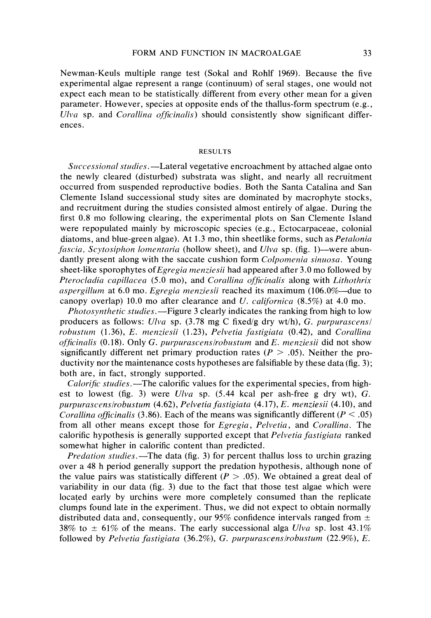Newman-Keuls multiple range test (Sokal and Rohlf 1969). Because the five experimental algae represent a range (continuum) of sera1 stages, one would not expect each mean to be statistically different from every other mean for a given parameter. However, species at opposite ends of the thallus-form spectrum (e.g., Ulva sp. and Corallina officinalis) should consistently show significant differences.

#### RESULTS

Successional studies.—Lateral vegetative encroachment by attached algae onto the newly cleared (disturbed) substrata was slight, and nearly all recruitment occurred from suspended reproductive bodies. Both the Santa Catalina and San Clemente Island successional study sites are dominated by macrophyte stocks, and recruitment during the studies consisted almost entirely of algae. During the first 0.8 mo following clearing, the experimental plots on San Clemente Island were repopulated mainly by microscopic species (e.g., Ectocarpaceae, colonial diatoms, and blue-green algae). At 1.3 mo, thin sheetlike forms, such as *Petalonia* fascia, Scytosiphon lomentaria (hollow sheet), and Ulva sp. (fig. 1)—were abundantly present along with the saccate cushion form *Colpomenia sinuosa*. Young sheet-like sporophytes of *Egregia menziesii* had appeared after 3.0 mo followed by Pterocladia capillacea (5.0 mo), and Corallina officinalis along with Lithothrix aspergillum at 6.0 mo. Egregia menziesii reached its maximum (106.0%—due to canopy overlap) 10.0 mo after clearance and U. *californica*  $(8.5\%)$  at 4.0 mo.

*Photosynthetic studies.*—Figure 3 clearly indicates the ranking from high to low producers as follows: Ulva sp.  $(3.78 \text{ mg C fixed/g dry wt/h}), G. purpurascens/$ robustum  $(1.36)$ , E. menziesii  $(1.23)$ , Pelvetia fastigiata  $(0.42)$ , and Corallina officinalis  $(0.18)$ . Only G. purpurascens/robustum and E. menziesii did not show significantly different net primary production rates ( $P > .05$ ). Neither the productivity nor the maintenance costs hypotheses are falsifiable by these data (fig. 3); both are, in fact, strongly supported.

Calorific studies.-The calorific values for the experimental species, from highest to lowest (fig. 3) were  $U/va$  sp. (5.44 kcal per ash-free g dry wt), G. purpurascens/robustum  $(4.62)$ , Pelvetia fastigiata  $(4.17)$ , E. menziesii  $(4.10)$ , and Corallina officinalis (3.86). Each of the means was significantly different ( $P < .05$ ) from all other means except those for *Egregia*, *Pelvetia*, and *Corallina*. The calorific hypothesis is generally supported except that *Pelvetia fastigiata* ranked somewhat higher in calorific content than predicted.

*Predation studies.*—The data (fig. 3) for percent thallus loss to urchin grazing over a 48 h period generally support the predation hypothesis, although none of the value pairs was statistically different ( $P > .05$ ). We obtained a great deal of variability in our data (fig. 3) due to the fact that those test algae which were located early by urchins were more completely consumed than the replicate clumps found late in the experiment. Thus, we did not expect to obtain normally distributed data and, consequently, our 95% confidence intervals ranged from  $\pm$ 38% to  $\pm$  61% of the means. The early successional alga Ulva sp. lost 43.1% followed by Pelvetia fastigiata (36.2%), G. purpurascens/robustum (22.9%), E.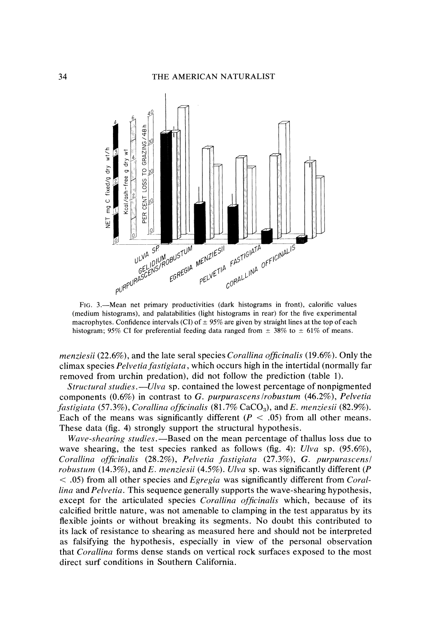

(medium histograms), and palatabilities (light histograms in rear) for the five experimental macrophytes. Confidence intervals (CI) of  $\pm$  95% are given by straight lines at the top of each histogram; 95% CI for preferential feeding data ranged from  $\pm$  38% to  $\pm$  61% of means.

*menziesii* (22.6%), and the late sera1 species *Corallina officinalis* (19.6%). Only the climax species *Pelvetia fastigiata,* which occurs high in the intertidal (normally far removed from urchin predation), did not follow the prediction (table 1).

*Structural studies.-Ulva* sp. contained the lowest percentage of nonpigmented components (0.6%) in contrast to G. *purpurascenslrobustum* (46.2%), *Pelvetia fastigiata* (57.3%), *Corallina officinalis* (81.7% CaCO<sub>3</sub>), and *E. menziesii* (82.9%). Each of the means was significantly different ( $P < .05$ ) from all other means. These data (fig. 4) strongly support the structural hypothesis.

*Wave-shearing studies.*—Based on the mean percentage of thallus loss due to wave shearing, the test species ranked as follows (fig. 4): *Ulva* sp. (95.6%), *Corallina of\$cinalis* (28.2%), *Pelvrtia fastigiata* (27.3%), G. *purpurascensl robustum* (14.3%), and E. *menziesii* (4.5%). *Ulva* sp. was significantly different (P < .05) from all other species and *Egregia* was significantly different from *Corcillina* and *Prlvetia.* This sequence generally supports the wave-shearing hypothesis, except for the articulated species *Corallina officinalis* which, because of its calcified brittle nature, was not amenable to clamping in the test apparatus by its flexible joints or without breaking its segments. No doubt this contributed to its lack of resistance to shearing as measured here and should not be interpreted as falsifying the hypothesis, especially in view of the personal observation that *Corallina* forms dense stands on vertical rock surfaces exposed to the most direct surf conditions in Southern California.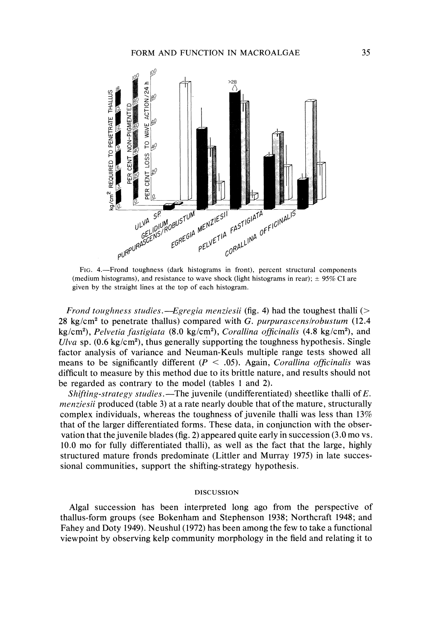

FIG. 4.-Frond toughness (dark histograms in front), percent structural components (medium histograms), and resistance to wave shock (light histograms in rear);  $\pm$  95% CI are given by the straight lines at the top of each histogram.

Frond toughness studies.—Egregia menziesii (fig. 4) had the toughest thalli ( $>$ 28 kg/cm<sup>2</sup> to penetrate thallus) compared with G. purpurascens/robustum (12.4  $kg/cm<sup>2</sup>$ ), Pelvetia fastigiata (8.0 kg/cm<sup>2</sup>), Corallina officinalis (4.8 kg/cm<sup>2</sup>), and *Ulva* sp.  $(0.6 \text{ kg/cm}^2)$ , thus generally supporting the toughness hypothesis. Single factor analysis of variance and Neuman-Keuls multiple range tests showed all means to be significantly different ( $P < .05$ ). Again, *Corallina officinalis* was difficult to measure by this method due to its brittle nature, and results should not be regarded as contrary to the model (tables 1 and 2).

Shifting-strategy studies.—The juvenile (undifferentiated) sheetlike thalli of  $E$ . menziesii produced (table 3) at a rate nearly double that of the mature, structurally complex individuals, whereas the toughness of juvenile thalli was less than 13% that of the larger differentiated forms. These data, in conjunction with the observation that the juvenile blades (fig. 2) appeared quite early in succession (3.0 mo vs. 10.0 mo for fully differentiated thalli), as well as the fact that the large, highly structured mature fronds predominate (Littler and Murray 1975) in late successional communities, support the shifting-strategy hypothesis.

#### DISCUSSION

Algal succession has been interpreted long ago from the perspective of thallus-form groups (see Bokenham and Stephenson 1938; Northcraft 1948; and Fahey and Doty 1949). Neushul (1972) has been among the few to take a functional viewpoint by observing kelp community morphology in the field and relating it to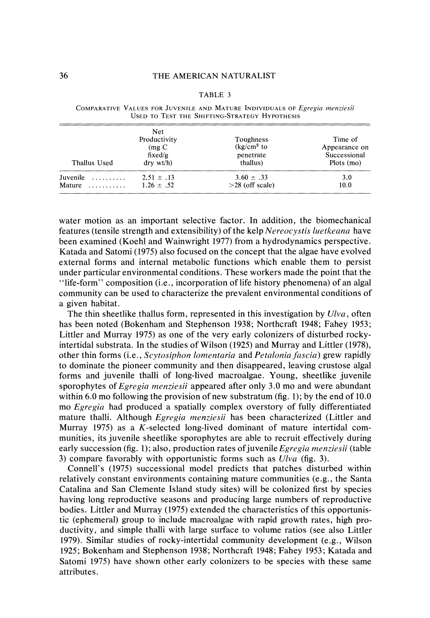#### TABLE 3

| Thallus Used                 | <b>Net</b><br>Productivity<br>$(mg)$ C<br>fixed/g<br>$\frac{drv}{dt}$ wt/h) | Toughness<br>$\frac{\text{kg}}{\text{cm}^2}$ to<br>penetrate<br>thallus) | Time of<br>Appearance on<br>Successional<br>Plots (mo) |
|------------------------------|-----------------------------------------------------------------------------|--------------------------------------------------------------------------|--------------------------------------------------------|
| Juvenile<br>.<br>Mature<br>. | $2.51 \pm .13$<br>$1.26 \pm .52$                                            | $3.60 \pm .33$<br>$>28$ (off scale)                                      | 3.0<br>10.0                                            |

COMPARATIVE VALUES FOR JUVENILE AND MATURE INDIVIDUALS OF Egregia menziesii USED TO TEST THE SHIFTING-STRATEGY HYPOTHESIS

water motion as an important selective factor. In addition, the biomechanical features (tensile strength and extensibility) of the kelp Nereocystis luetkeana have been examined (Koehl and Wainwright 1977) from a hydrodynamics perspective. Katada and Satomi (1975) also focused on the concept that the algae have evolved external forms and internal metabolic functions which enable them to persist under particular environmental conditions. These workers made the point that the "life-form" composition (i.e., incorporation of life history phenomena) of an algal community can be used to characterize the prevalent environmental conditions of a given habitat.

The thin sheetlike thallus form, represented in this investigation by  $U/vq$ , often has been noted (Bokenham and Stephenson 1938; Northcraft 1948; Fahey 1953; Littler and Murray 1975) as one of the very early colonizers of disturbed rockyintertidal substrata. In the studies of Wilson (1925) and Murray and Littler (1978), other thin forms (i.e.,  $Scytosiphon$  lomentaria and Petalonia fascia) grew rapidly to dominate the pioneer community and then disappeared, leaving crustose algal forms and juvenile thalli of long-lived macroalgae. Young, sheetlike juvenile sporophytes of *Egregia menziesii* appeared after only 3.0 mo and were abundant within 6.0 mo following the provision of new substratum (fig. 1); by the end of 10.0 mo Egregia had produced a spatially complex overstory of fully differentiated mature thalli. Although *Egregia menziesii* has been characterized (Littler and Murray 1975) as a K-selected long-lived dominant of mature intertidal communities, its juvenile sheetlike sporophytes are able to recruit effectively during early succession (fig. 1); also, production rates of juvenile *Egregia menziesii* (table 3) compare favorably with opportunistic forms such as Ulva (fig. 3).

Connell's (1975) successional model predicts that patches disturbed within relatively constant environments containing mature communities (e.g., the Santa Catalina and San Clemente Island study sites) will be colonized first by species having long reproductive seasons and producing large numbers of reproductive bodies. Littler and Murray (1975) extended the characteristics of this opportunistic (ephemeral) group to include macroalgae with rapid growth rates, high productivity, and simple thalli with large surface to volume ratios (see also Littler 1979). Similar studies of rocky-intertidal community development (e.g., Wilson 1925; Bokenham and Stephenson 1938; Northcraft 1948; Fahey 1953; Katada and Satomi 1975) have shown other early colonizers to be species with these same attributes.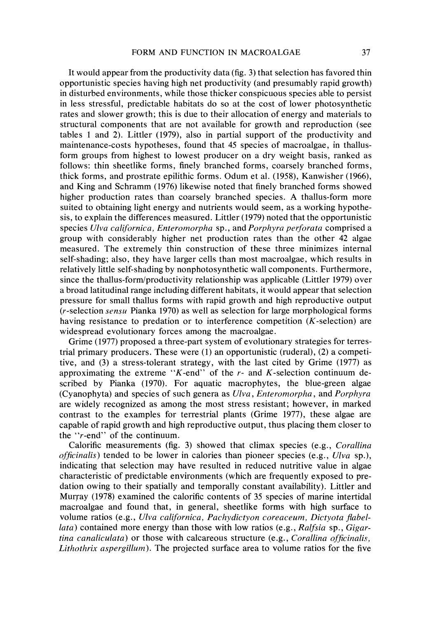It would appear from the productivity data (fig. 3) that selection has favored thin opportunistic species having high net productivity (and presumably rapid growth) in disturbed environments, while those thicker conspicuous species able to persist in less stressful, predictable habitats do so at the cost of lower photosynthetic rates and slower growth; this is due to their allocation of energy and materials to structural components that are not available for growth and reproduction (see tables 1 and 2). Littler (1979), also in partial support of the productivity and maintenance-costs hypotheses, found that 45 species of macroalgae, in thallusform groups from highest to lowest producer on a dry weight basis, ranked as follows: thin sheetlike forms, finely branched forms, coarsely branched forms, thick forms, and prostrate epilithic forms. Odum et al. (1958), Kanwisher (1966), and King and Schramm (1976) likewise noted that finely branched forms showed higher production rates than coarsely branched species. A thallus-form more suited to obtaining light energy and nutrients would seem, as a working hypothesis, to explain the differences measured. Littler (1979) noted that the opportunistic species Ulva californica, Enteromorpha sp., and Porphyra perforata comprised a group with considerably higher net production rates than the other 42 algae measured. The extremely thin construction of these three minimizes internal self-shading; also, they have larger cells than most macroalgae, which results in relatively little self-shading by nonphotosynthetic wall components. Furthermore, since the thallus-form/productivity relationship was applicable (Littler 1979) over a broad latitudinal range including different habitats, it would appear that selection pressure for small thallus forms with rapid growth and high reproductive output (r-selection sensu Pianka 1970) as well as selection for large morphological forms having resistance to predation or to interference competition (K-selection) are widespread evolutionary forces among the macroalgae.

Grime (1977) proposed a three-part system of evolutionary strategies for terrestrial primary producers. These were (1) an opportunistic (ruderal), (2) a competitive, and **(3)** a stress-tolerant strategy, with the last cited by Grime (1977) as approximating the extreme "K-end" of the  $r$ - and K-selection continuum described by Pianka (1970). For aquatic macrophytes, the blue-green algae (Cyanophyta) and species of such genera as Ulva, Entrrornorpha, and Porphyra are widely recognized as among the most stress resistant; however, in marked contrast to the examples for terrestrial plants (Grime 1977), these algae are capable of rapid growth and high reproductive output, thus placing them closer to the " $r$ -end" of the continuum.

Calorific measurements (fig. **3)** showed that climax species (e.g., Corallina officinalis) tended to be lower in calories than pioneer species (e.g.,  $U/\nu a$  sp.), indicating that selection may have resulted in reduced nutritive value in algae characteristic of predictable environments (which are frequently exposed to predation owing to their spatially and temporally constant availability). Littler and Murray (1978) examined the calorific contents of 35 species of marine intertidal macroalgae and found that, in general, sheetlike forms with high surface to volume ratios (e.g., Ulva californica, Pachydictyon coreaceum, Dictyota flabel*lata*) contained more energy than those with low ratios (e.g., Ralfsia sp., Gigartina canaliculata) or those with calcareous structure  $(e.g., *Corallina* of *ficialis*$ , Lithothrix aspergillum). The projected surface area to volume ratios for the five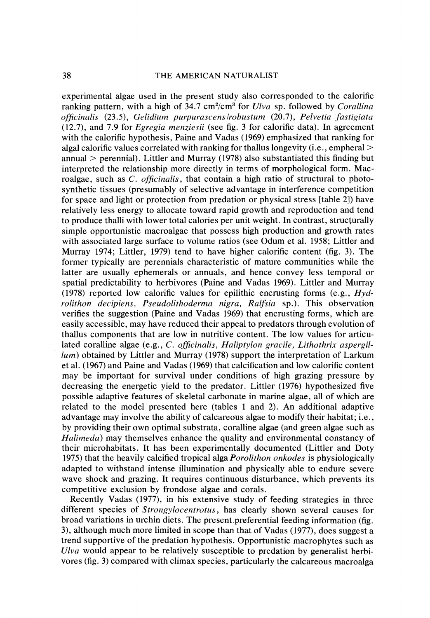experimental algae used in the present study also corresponded to the calorific ranking pattern, with a high of 34.7  $cm^2/cm^3$  for Ulva sp. followed by Corallina ofjcinalis (23.5), Gelidium purpurascenslrobustum (20.7), Pelvetia fastigiata (12.7), and 7.9 for Egregia menziesii (see fig. 3 for calorific data). In agreement with the calorific hypothesis, Paine and Vadas (1969) emphasized that ranking for algal calorific values correlated with ranking for thallus longevity (i.e., empheral  $\geq$ annual  $>$  perennial). Littler and Murray (1978) also substantiated this finding but interpreted the relationship more directly in terms of morphological form. Macroalgae, such as  $C$ . *officinalis*, that contain a high ratio of structural to photosynthetic tissues (presumably of selective advantage in interference competition for space and light or protection from predation or physical stress [table 21) have relatively less energy to allocate toward rapid growth and reproduction and tend to produce thalli with lower total calories per unit weight. In contrast, structurally simple opportunistic macroalgae that possess high production and growth rates with associated large surface to volume ratios (see Odum et al. 1958; Littler and Murray 1974; Littler, 1979) tend to have higher calorific content (fig. 3). The former typically are perennials characteristic of mature communities while the latter are usually ephemerals or annuals, and hence convey less temporal or spatial predictability to herbivores (Paine and Vadas 1969). Littler and Murray (1978) reported low calorific values for epilithic encrusting forms (e.g.,  $Hyd$ rolithon decipiens, Pseudolithoderma nigra, Ralfsia sp.). This observation verifies the suggestion (Paine and Vadas 1969) that encrusting forms, which are easily accessible, may have reduced their appeal to predators through evolution of thallus components that are low in nutritive content. The low values for articulated coralline algae (e.g., C. officinalis, Haliptylon gracile, Lithothrix aspergillum) obtained by Littler and Murray (1978) support the interpretation of Larkum et al. (1967) and Paine and Vadas (1969) that calcification and low calorific content may be important for survival under conditions of high grazing pressure by decreasing the energetic yield to the predator. Littler (1976) hypothesized five possible adaptive features of skeletal carbonate in marine algae, all of which are related to the model presented here (tables 1 and 2). An additional adaptive advantage may involve the ability of calcareous algae to modify their habitat; i.e., by providing their own optimal substrata, coralline algae (and green algae such as Halimeda) may themselves enhance the quality and environmental constancy of their microhabitats. It has been experimentally documented (Littler and Doty 1975) that the heavily calcified tropical alga Porolithon onkodes is physiologically adapted to withstand intense illumination and physically able to endure severe wave shock and grazing. It requires continuous disturbance, which prevents its competitive exclusion by frondose algae and corals.

Recently Vadas (1977), in his extensive study of feeding strategies in three different species of Strongylocentrotus, has clearly shown several causes for broad variations in urchin diets. The present preferential feeding information (fig. 3), although much more limited in scope than that of Vadas (1977), does suggest a trend supportive of the predation hypothesis. Opportunistic macrophytes such as Ulva would appear to be relatively susceptible to predation by generalist herbivores (fig. 3) compared with climax species, particularly the calcareous macroalga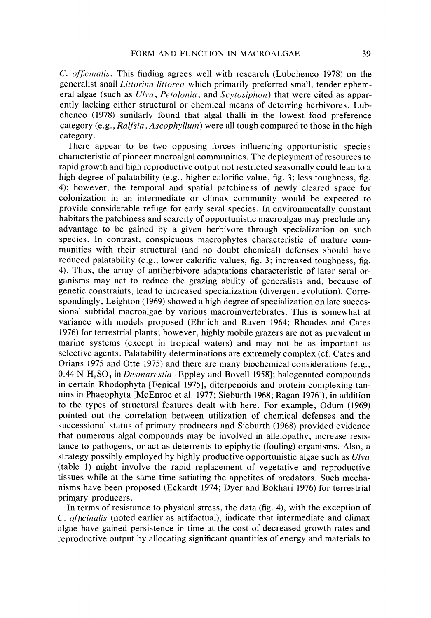C. officinalis. This finding agrees well with research (Lubchenco 1978) on the generalist snail *Littorina littorea* which primarily preferred small, tender ephemeral algae (such as  $U\,|va, Petalonia,$  and Scytosiphon) that were cited as apparently lacking either structural or chemical means of deterring herbivores. Lubchenco (1978) similarly found that algal thalli in the lowest food preference category  $(e.g., *Ralfsia*, *Ascophvllum*)$  were all tough compared to those in the high category.

There appear to be two opposing forces influencing opportunistic species characteristic of pioneer macroalgal communities. The deployment of resources to rapid growth and high reproductive output not restricted seasonally could lead to a high degree of palatability (e.g., higher calorific value, fig. **3;** less toughness, fig. 4); however, the temporal and spatial patchiness of newly cleared space for colonization in an intermediate or climax community would be expected to provide considerable refuge for early seral species. In environmentally constant habitats the patchiness and scarcity of opportunistic macroalgae may preclude any advantage to be gained by a given herbivore through specialization on such species. In contrast, conspicuous macrophytes characteristic of mature communities with their structural (and no doubt chemical) defenses should have reduced palatability (e.g., lower calorific values, fig. 3; increased toughness, fig. 4). Thus, the array of antiherbivore adaptations characteristic of later seral organisms may act to reduce the grazing ability of generalists and, because of genetic constraints, lead to increased specialization (divergent evolution). Correspondingly, Leighton (1969) showed a high degree of specialization on late successional subtidal macroalgae by various macroinvertebrates. This is somewhat at variance with models proposed (Ehrlich and Raven 1964; Rhoades and Cates 1976) for terrestrial plants; however, highly mobile grazers are not as prevalent in marine systems (except in tropical waters) and may not be as important as selective agents. Palatability determinations are extremely complex (cf. Cates and Orians 1975 and Otte 1975) and there are many biochemical considerations (e.g., 0.44 N  $H<sub>2</sub>SO<sub>4</sub>$  in *Desmarestia* [Eppley and Bovell 1958]; halogenated compounds in certain Rhodophyta [Fenical 19751, diterpenoids and protein complexing tannins in Phaeophyta [McEnroe et al. 1977; Sieburth 1968; Ragan 1976]), in addition to the types of structural features dealt with here. For example, Odum (1969) pointed out the correlation between utilization of chemical defenses and the successional status of primary producers and Sieburth (1968) provided evidence that numerous algal compounds may be involved in allelopathy, increase resistance to pathogens, or act as deterrents to epiphytic (fouling) organisms. Also, a strategy possibly employed by highly productive opportunistic algae such as Ulva (table 1) might involve the rapid replacement of vegetative and reproductive tissues while at the same time satiating the appetites of predators. Such mechanisms have been proposed (Eckardt 1974; Dyer and Bokhari 1976) for terrestrial primary producers.

In terms of resistance to physical stress, the data (fig. 4), with the exception of  $C.$  *officinalis* (noted earlier as artifactual), indicate that intermediate and climax algae have gained persistence in time at the cost of decreased growth rates and reproductive output by allocating significant quantities of energy and materials to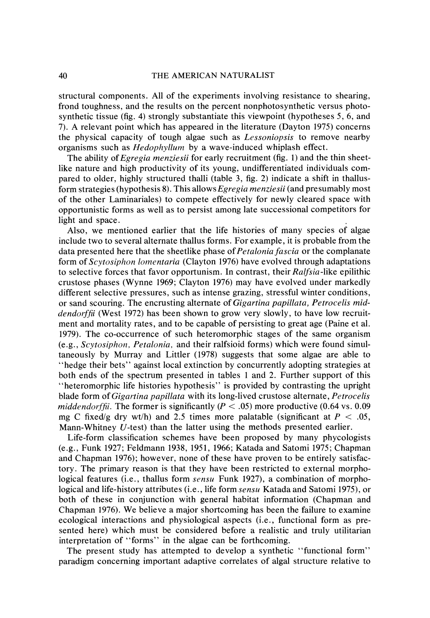#### 40 THE AMERICAN NATURALIST

structural components. All of the experiments involving resistance to shearing, frond toughness, and the results on the percent nonphotosynthetic versus photosynthetic tissue (fig. 4) strongly substantiate this viewpoint (hypotheses 5, 6, and 7). A relevant point which has appeared in the literature (Dayton 1975) concerns the physical capacity of tough algae such as Lessoniopsis to remove nearby organisms such as Hedophyllum by a wave-induced whiplash effect.

The ability of *Egregia menziesii* for early recruitment (fig. 1) and the thin sheetlike nature and high productivity of its young, undifferentiated individuals compared to older, highly structured thalli (table 3, fig. 2) indicate a shift in thallusform strategies (hypothesis 8). This allows Egregia menziesii (and presumably most of the other Laminariales) to compete effectively for newly cleared space with opportunistic forms as well as to persist among late successional competitors for light and space.

Also, we mentioned earlier that the life histories of many species of algae include two to several alternate thallus forms. For example, it is probable from the data presented here that the sheetlike phase of *Petalonia fascia* or the complanate form of Scytosiphon lomentaria (Clayton 1976) have evolved through adaptations to selective forces that favor opportunism. In contrast, their Ralfsia-like epilithic crustose phases (Wynne 1969; Clayton 1976) may have evolved under markedly different selective pressures, such as intense grazing, stressful winter conditions, or sand scouring. The encrusting alternate of Gigartina papillata, Petrocelis middendorffii (West 1972) has been shown to grow very slowly, to have low recruitment and mortality rates, and to be capable of persisting to great age (Paine et al. 1979). The co-occurrence of such heteromorphic stages of the same organism  $(e.g., *Sevtosiphon*, *Petalonia*, and their ralfsioid forms) which were found simultaneously.$ taneously by Murray and Littler (1978) suggests that some algae are able to "hedge their bets" against local extinction by concurrently adopting strategies at both ends of the spectrum presented in tables 1 and 2. Further support of this "heteromorphic life histories hypothesis" is provided by contrasting the upright blade form of *Gigartina papillata* with its long-lived crustose alternate, *Petrocelis middendorffil*. The former is significantly ( $P < .05$ ) more productive (0.64 vs. 0.09 mg C fixed/g dry wt/h) and 2.5 times more palatable (significant at  $P < .05$ , Mann-Whitney U-test) than the latter using the methods presented earlier.

Life-form classification schemes have been proposed by many phycologists (e.g., Funk 1927; Feldmann 1938, 1951, 1966; Katada and Satomi 1975; Chapman and Chapman 1976); however, none of these have proven to be entirely satisfactory. The primary reason is that they have been restricted to external morphological features (i.e., thallus form sensu Funk 1927), a combination of morphological and life-history attributes (i.e., life form *sensu* Katada and Satomi 1975), or both of these in conjunction with general habitat information (Chapman and Chapman 1976). We believe a major shortcoming has been the failure to examine ecological interactions and physiological aspects (i.e., functional form as presented here) which must be considered before a realistic and truly utilitarian interpretation of "forms" in the algae can be forthcoming.

The present study has attempted to develop a synthetic "functional form" paradigm concerning important adaptive correlates of algal structure relative to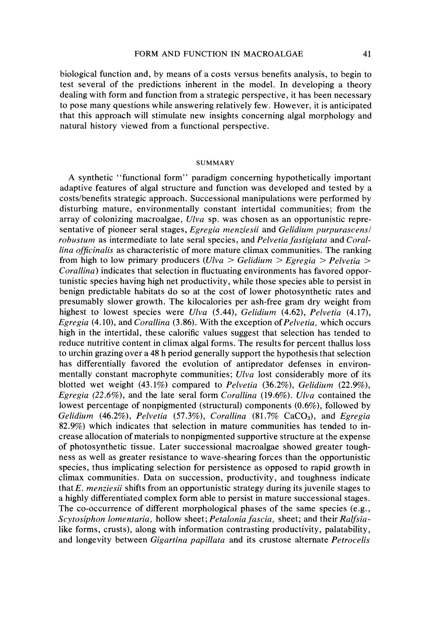biological function and, by means of a costs versus benefits analysis, to begin to test several of the predictions inherent in the model. In developing a theory dealing with form and function from a strategic perspective, it has been necessary to pose many questions while answering relatively few. However, it is anticipated that this approach will stimulate new insights concerning algal morphology and natural history viewed from a functional perspective.

#### **SUMMARY**

A synthetic "functional form" paradigm concerning hypothetically important adaptive features of algal structure and function was developed and tested by a costslbenefits strategic approach. Successional manipulations were performed by disturbing mature, environmentally constant intertidal communities; from the array of colonizing macroalgae, *Ulva* sp. was chosen as an opportunistic representative of pioneer seral stages, *Egregia menziesii* and *Gelidium purpurascensl robustum* as intermediate to late seral species, and *Pelvetia fastigiata* and *Corallina ofjcinalis* as characteristic of more mature climax communities. The ranking from high to low primary producers *(Ulva* > *Gelidium* > *Egregia* > *Pelvetia* > *Corallina)* indicates that selection in fluctuating environments has favored opportunistic species having high net productivity, while those species able to persist in benign predictable habitats do so at the cost of lower photosynthetic rates and presumably slower growth. The kilocalories per ash-free gram dry weight from highest to lowest species were *Ulva* (5.44), *Gelidium* (4.62), *Pelvetia* (4.17), *Egregia* (4.10), and *Corallina* (3.86). With the exception of *Pelvetia*, which occurs high in the intertidal, these calorific values suggest that selection has tended to reduce nutritive content in climax algal forms. The results for percent thallus loss to urchin grazing over a 48 h period generally support the hypothesis that selection has differentially favored the evolution of antipredator defenses in environmentally constant macrophyte communities; *Ulva* lost considerably more of its blotted wet weight (43.1%) compared to *Pelvetia* (36.2%), *Gelidium* (22.9%), *Egregia* (22.6%), and the late seral form *Corallina* (19.6%). *Ulva* contained the lowest percentage of nonpigmented (structural) components (0.6%), followed by *Gelidium* (46.2%), *Pelvetia* (57.3%), *Corallina* (81.7% CaC03), and *Egregia*  82.9%) which indicates that selection in mature communities has tended to increase allocation of materials to nonpigmented supportive structure at the expense of photosynthetic tissue. Later successional macroalgae showed greater toughness as well as greater resistance to wave-shearing forces than the opportunistic species, thus implicating selection for persistence as opposed to rapid growth in climax communities. Data on succession, productivity, and toughness indicate that *E. menziesii* shifts from an opportunistic strategy during its juvenile stages to a highly differentiated complex form able to persist in mature successional stages. The co-occurrence of different morphological phases of the same species (e.g., *Scytosiphon lomentaria,* hollow sheet; *Petalonia fascia,* sheet; and their *Ralfsia*like forms, crusts), along with information contrasting productivity, palatability, and longevity between *Gigartina papillata* and its crustose alternate *Petrocelis*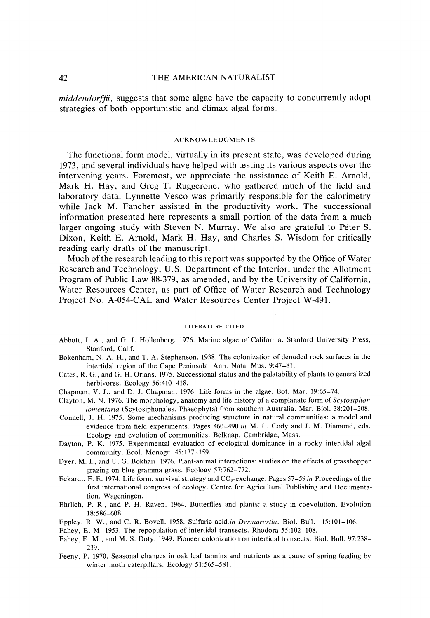#### THE AMERICAN NATURALIST

*middendorfji,* suggests that some algae have the capacity to concurrently adopt strategies of both opportunistic and climax algal forms.

#### ACKNOWLEDGMENTS

The functional form model, virtually in its present state, was developed during 1973, and several individuals have helped with testing its various aspects over the intervening years. Foremost, we appreciate the assistance of Keith E. Arnold, Mark H. Hay, and Greg T. Ruggerone, who gathered much of the field and laboratory data. Lynnette Vesco was primarily responsible for the calorimetry while Jack M. Fancher assisted in the productivity work. The successional information presented here represents a small portion of the data from a much larger ongoing study with Steven N. Murray. We also are grateful to Peter S. Dixon, Keith E. Arnold, Mark H. Hay, and Charles S. Wisdom for critically reading early drafts of the manuscript.

Much of the research leading to this report was supported by the Office of Water Research and Technology, U.S. Department of the Interior, under the Allotment Program of Public Law 88-379, as amended, and by the University of California, Water Resources Center, as part of Office of Water Research and Technology Project No. A-054-CAL and Water Resources Center Project W-491.

#### LITERATURE CITED

- *Abbott, I. A,, and G. J. Hollenberg. 1976. Marine algae of California. Stanford University Press, Stanford. Calif.*
- *Bokenham, N. A. H., and T. A. Stephenson. 1938. The colonization of denuded rock surfaces in the intertidal region of the Cape Peninsula. Ann. Natal Mus. 9:47-81.*
- *Cates, R. G., and G. H. Orians. 1975. Successional status and the palatability of plants to generalized herbivores. Ecology 56:410-418.*
- *Chapman, V.* J., *and D. J. Chapman. 1976. Life forms in the algae. Bot. Mar. 19:65-74.*
- Clayton, M. N. 1976. The morphology, anatomy and life history of a complanate form of Scytosiphon *lomentaria* (Scytosiphonales, Phaeophyta) from southern Australia. Mar. Biol. 38:201-208.
- *Connell,* J. *H. 1975. Some mechanisms producing structure in natural communities: a model and evidence from field experiments. Pages 460-490 in M. L. Cody and J. M. Diamond, eds. Ecology and evolution of communities. Belknap, Cambridge, Mass.*
- Dayton, P. K. 1975. Experimental evaluation of ecological dominance in a rocky intertidal algal *community. Ecol. Monogr. 45: 137-159.*
- *Dyer, M. I., and U. G. Bokhari. 1976. Plant-animal interactions: studies on the effects of grasshopper grazing on blue gramma grass. Ecology 57:762-772.*
- *Eckardt, F. E. 1974. Life form, survival strategy and C0,-exchange. Pages 57-59in Proceedings of the first international congress of ecology. Centre for Agricultural Publishing and Documentation, Wageningen.*
- *Ehrlich, P. R., and P. H. Raven. 1964. Butterflies and plants: a study in coevolution. Evolution 18586-608.*
- *Eppley, R. W., and C. R. Bovell. 1958. Sulfuric acid in Desmarestia. Biol. Bull. 115:101-106.*
- *Fahey, E. M. 1953. The repopulation of intertidal transects. Rhodora 55:102-108.*
- *Fahey, E. M., and M. S. Doty. 1949. Pioneer colonization on intertidal transects. Biol. Bull. 97:238- 239.*
- *Feeny, P. 1970. Seasonal changes in oak leaf tannins and nutrients as a cause of spring feeding by winter moth caterpillars. Ecology 51:565-581.*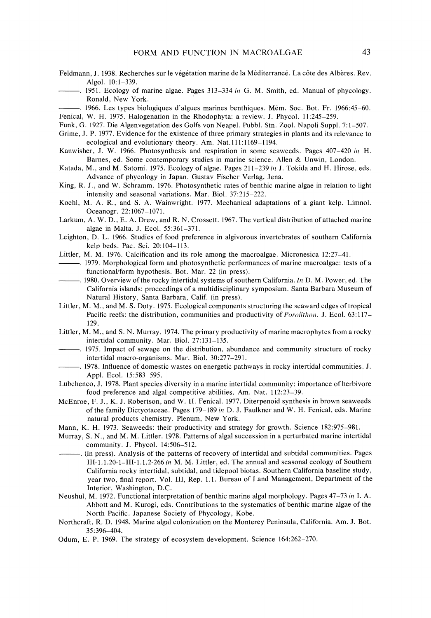- Feldmann, J. 1938. Recherches sur le végétation marine de la Méditerraneé. La côte des Albères. Rev. Algol. 10: 1-339.
- 1951. Ecology of marine algae. Pages  $313-334$  in G. M. Smith, ed. Manual of phycology. Ronald, New York.
- . 1966. Les types biologiques d'algues marines benthiques. Mem. Soc. Bot. Fr. 1966:45-60. Fenical, W. H. 1975. Halogenation in the Rhodophyta: a review. J. Phycol. !1:245-259.
- Funk. G. 1927. Die Algenvegetation des Golfs von Neapel. Pubbl. Stn. Zool. Napoli Suppl. 7: 1-507.
- Grime, J. P. 1977. Evidence for the existence of three primary strategies in plants and its relevance to ecological and evolutionary theory. Am. Nat. 111:1169-1194.
- Kanwisher, J. W. 1966. Photosynthesis and respiration in some seaweeds. Pages 407-420 in H. Barnes, ed. Some contemporary studies in marine science. Allen & Unwin, London.
- Katada, M., and M. Satomi. 1975. Ecology of algae. Pages 211–239 in J. Tokida and H. Hirose, eds. Advance of phycology in Japan. Gustav Fischer Verlag. Jena.
- King, R. J., and W. Schramm. 1976. Photosynthetic rates of benthic marine algae in relation to light intensity and seasonal variations. Mar. Biol. 37:215-222.
- Koehl. M. A. R., and S. A. Wainwright. 1977. Mechanical adaptations of a giant kelp. Limnol. Oceanogr. 22: 1067-1071.
- Larkum, A. W. D., E. A. Drew, and R. N. Crossett. 1967. The vertical distribution of attached marine algae in Malta. J. Ecol. 55:361-371.
- Leighton. D. L. 1966. Studies of food preference in algivorous invertebrates of southern California kelp beds. Pac. Sci. 20: 104-1 13.
- Littler, M. M. 1976. Calcification and its role among the macroalgae. Micronesica 12:27-41.
- . 1979. Morphological form and photosynthetic performances of marine macroalgae: tests of a functional/form hypothesis. Bot. Mar. 22 (in press).
- -. 1980. Overview of the rocky intertidal systems of southern California. *117* D. M. Power. ed. The California islands: proceedings of a multidisciplinary symposium. Santa Barbara Museum of Natural History, Santa Barbara. Calif. (in press).
- Littler, M. M.. and M. S. Doty. 1975. Ecological components structuring the seaward edges of tropical Pacific reefs: the distribution, communities and productivity of *Porolithon*. J. Ecol. 63:117-129.
- Littler. **At.** M.. and S. N. Murray. 1974. The primary productivity of marine macrophytes from a rocky intertidal community. Mar. Biol. 27:131-135.
- $-$ . 1975. Impact of sewage on the distribution, abundance and community structure of rocky intertidal macro-organisms. Mar. Biol. 30:277-291.
- . 1978. Influence of domestic wastes on energetic pathways in rocky intertidal communities. J. Appl. Ecol. 15:583-595.
- Lubchenco. J. 1978. Plant species diversity in a marine intertidal community: importance of herbivore food preference and algal competitive abilities. Am. Nat. 112:23-39.
- McEnroe, F. J.. K. J. Robertson, and W. H. Fenical. 1977. Diterpenoid synthesis in brown seaweeds of the family Dictyotaceae. Pages 179–189 in D. J. Faulkner and W. H. Fenical, eds. Marine natural products chemistry. Plenum, New York.
- Mann, K. H. 1973. Seaweeds: their productivity and strategy for growth. Science 182:975-981.
- Murray. S. N., and M. M. Littler. 1978. Patterns of algal succession in a perturbated marine intertidal community. J. Phycol. 14:506-512.
- , (in press). Analysis of the patterns of recovery of intertidal and subtidal communities. Pages 111-1.1.20-I-111-1.1.2-266 in M. M. Littler. ed. The annual and seasonal ecology of Southern California rocky intertidal, subtidal, and tidepool biotas. Southern California baseline study, year two, final report. Vol. 111, Rep. 1.1. Bureau of Land Management, Department of the Interior, Washington, D.C.
- Neushul, M. 1972. Functional interpretation of benthic marine algal morphology. Pages 47–73 in I. A. Abbott and M. Kurogi. eds. Contributions to the systematics of benthic marine algae of the North Pacific. Japanese Society of Phycology, Kobe.
- Northcraft, R. D. 1948. Marine algal colonization on the Monterey Peninsula, California. Am. J. Bot. 35:396-404.
- Odum, E. P. 1969. The strategy of ecosystem development. Science 164:262-270.